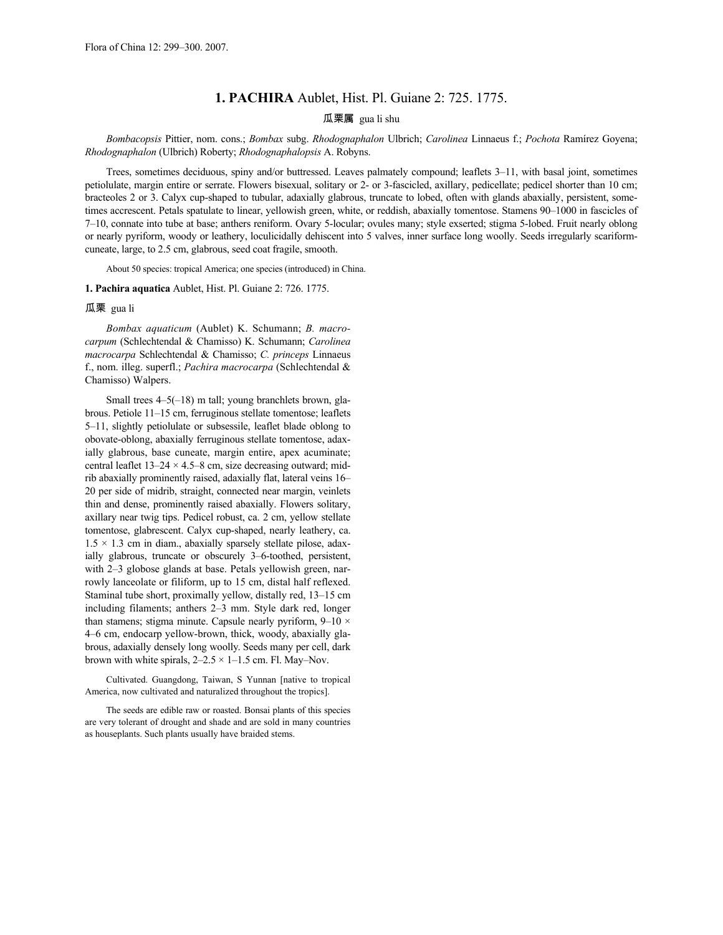## **1. PACHIRA** Aublet, Hist. Pl. Guiane 2: 725. 1775.

## 瓜栗属 gua li shu

*Bombacopsis* Pittier, nom. cons.; *Bombax* subg. *Rhodognaphalon* Ulbrich; *Carolinea* Linnaeus f.; *Pochota* Ramírez Goyena; *Rhodognaphalon* (Ulbrich) Roberty; *Rhodognaphalopsis* A. Robyns.

Trees, sometimes deciduous, spiny and/or buttressed. Leaves palmately compound; leaflets 3–11, with basal joint, sometimes petiolulate, margin entire or serrate. Flowers bisexual, solitary or 2- or 3-fascicled, axillary, pedicellate; pedicel shorter than 10 cm; bracteoles 2 or 3. Calyx cup-shaped to tubular, adaxially glabrous, truncate to lobed, often with glands abaxially, persistent, sometimes accrescent. Petals spatulate to linear, yellowish green, white, or reddish, abaxially tomentose. Stamens 90–1000 in fascicles of 7–10, connate into tube at base; anthers reniform. Ovary 5-locular; ovules many; style exserted; stigma 5-lobed. Fruit nearly oblong or nearly pyriform, woody or leathery, loculicidally dehiscent into 5 valves, inner surface long woolly. Seeds irregularly scariformcuneate, large, to 2.5 cm, glabrous, seed coat fragile, smooth.

About 50 species: tropical America; one species (introduced) in China.

## **1. Pachira aquatica** Aublet, Hist. Pl. Guiane 2: 726. 1775.

## 瓜栗 gua li

*Bombax aquaticum* (Aublet) K. Schumann; *B. macrocarpum* (Schlechtendal & Chamisso) K. Schumann; *Carolinea macrocarpa* Schlechtendal & Chamisso; *C. princeps* Linnaeus f., nom. illeg. superfl.; *Pachira macrocarpa* (Schlechtendal & Chamisso) Walpers.

Small trees 4–5(–18) m tall; young branchlets brown, glabrous. Petiole 11–15 cm, ferruginous stellate tomentose; leaflets 5–11, slightly petiolulate or subsessile, leaflet blade oblong to obovate-oblong, abaxially ferruginous stellate tomentose, adaxially glabrous, base cuneate, margin entire, apex acuminate; central leaflet  $13-24 \times 4.5-8$  cm, size decreasing outward; midrib abaxially prominently raised, adaxially flat, lateral veins 16– 20 per side of midrib, straight, connected near margin, veinlets thin and dense, prominently raised abaxially. Flowers solitary, axillary near twig tips. Pedicel robust, ca. 2 cm, yellow stellate tomentose, glabrescent. Calyx cup-shaped, nearly leathery, ca.  $1.5 \times 1.3$  cm in diam., abaxially sparsely stellate pilose, adaxially glabrous, truncate or obscurely 3–6-toothed, persistent, with 2–3 globose glands at base. Petals yellowish green, narrowly lanceolate or filiform, up to 15 cm, distal half reflexed. Staminal tube short, proximally yellow, distally red, 13–15 cm including filaments; anthers 2–3 mm. Style dark red, longer than stamens; stigma minute. Capsule nearly pyriform,  $9-10 \times$ 4–6 cm, endocarp yellow-brown, thick, woody, abaxially glabrous, adaxially densely long woolly. Seeds many per cell, dark brown with white spirals,  $2-2.5 \times 1-1.5$  cm. Fl. May–Nov.

Cultivated. Guangdong, Taiwan, S Yunnan [native to tropical America, now cultivated and naturalized throughout the tropics].

The seeds are edible raw or roasted. Bonsai plants of this species are very tolerant of drought and shade and are sold in many countries as houseplants. Such plants usually have braided stems.